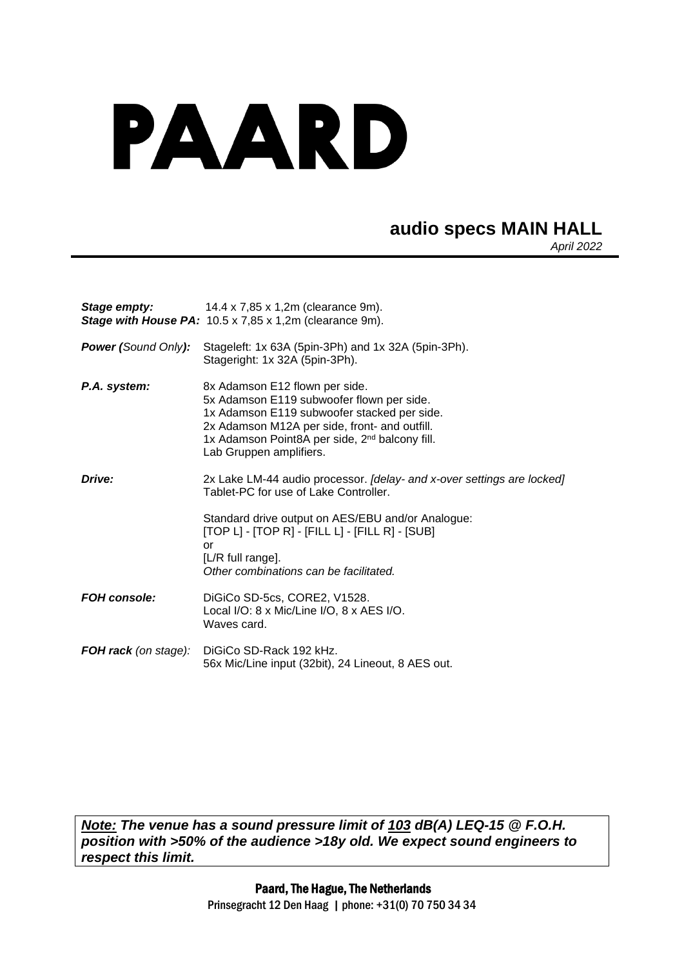## PAARD

## **audio specs MAIN HALL**

*April 2022*

| Stage empty:                | 14.4 x 7,85 x 1,2m (clearance 9m).<br><b>Stage with House PA:</b> $10.5 \times 7,85 \times 1,2m$ (clearance 9m).                                                                                                                                                     |
|-----------------------------|----------------------------------------------------------------------------------------------------------------------------------------------------------------------------------------------------------------------------------------------------------------------|
| <b>Power (Sound Only):</b>  | Stageleft: 1x 63A (5pin-3Ph) and 1x 32A (5pin-3Ph).<br>Stageright: 1x 32A (5pin-3Ph).                                                                                                                                                                                |
| P.A. system:                | 8x Adamson E12 flown per side.<br>5x Adamson E119 subwoofer flown per side.<br>1x Adamson E119 subwoofer stacked per side.<br>2x Adamson M12A per side, front- and outfill.<br>1x Adamson Point8A per side, 2 <sup>nd</sup> balcony fill.<br>Lab Gruppen amplifiers. |
| Drive:                      | 2x Lake LM-44 audio processor. [delay- and x-over settings are locked]<br>Tablet-PC for use of Lake Controller.<br>Standard drive output on AES/EBU and/or Analogue:                                                                                                 |
|                             | $[TOP L] - [TOP R] - [FILE L] - [FILE R] - [SUB]$<br>or<br>[L/R full range].<br>Other combinations can be facilitated.                                                                                                                                               |
| <b>FOH console:</b>         | DiGiCo SD-5cs, CORE2, V1528.<br>Local I/O: 8 x Mic/Line I/O, 8 x AES I/O.<br>Waves card.                                                                                                                                                                             |
| <b>FOH rack</b> (on stage): | DiGiCo SD-Rack 192 kHz.<br>56x Mic/Line input (32bit), 24 Lineout, 8 AES out.                                                                                                                                                                                        |

*Note: The venue has a sound pressure limit of 103 dB(A) LEQ-15 @ F.O.H. position with >50% of the audience >18y old. We expect sound engineers to respect this limit.*